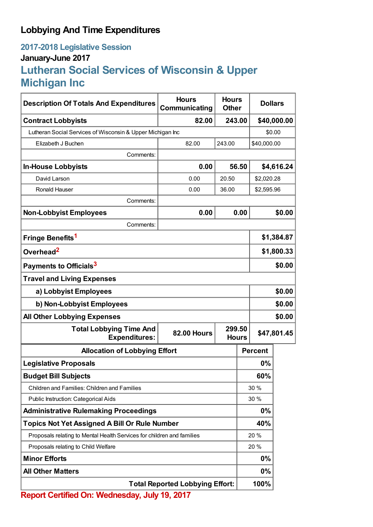## **Lobbying And Time Expenditures**

## **2017-2018 Legislative Session January-June 2017 Lutheran Social Services of Wisconsin & Upper Michigan Inc**

| <b>Description Of Totals And Expenditures</b>                          | <b>Hours</b><br>Communicating | <b>Hours</b><br><b>Dollars</b><br><b>Other</b> |                |             |  |
|------------------------------------------------------------------------|-------------------------------|------------------------------------------------|----------------|-------------|--|
| <b>Contract Lobbyists</b>                                              | 82.00                         | \$40,000.00<br>243.00                          |                |             |  |
| Lutheran Social Services of Wisconsin & Upper Michigan Inc             |                               |                                                |                | \$0.00      |  |
| Elizabeth J Buchen                                                     | 82.00                         | 243.00                                         | \$40,000.00    |             |  |
| Comments:                                                              |                               |                                                |                |             |  |
| <b>In-House Lobbyists</b>                                              | 0.00                          | 56.50                                          |                | \$4,616.24  |  |
| David Larson                                                           | 0.00                          | 20.50                                          |                | \$2,020.28  |  |
| <b>Ronald Hauser</b>                                                   | 0.00                          | 36.00                                          | \$2,595.96     |             |  |
| Comments:                                                              |                               |                                                |                |             |  |
| <b>Non-Lobbyist Employees</b>                                          | 0.00                          | 0.00                                           |                | \$0.00      |  |
| Comments:                                                              |                               |                                                |                |             |  |
| Fringe Benefits <sup>1</sup>                                           |                               |                                                |                | \$1,384.87  |  |
| Overhead <sup>2</sup>                                                  |                               |                                                |                | \$1,800.33  |  |
| Payments to Officials <sup>3</sup>                                     |                               |                                                |                | \$0.00      |  |
| <b>Travel and Living Expenses</b>                                      |                               |                                                |                |             |  |
| a) Lobbyist Employees                                                  |                               |                                                | \$0.00         |             |  |
| b) Non-Lobbyist Employees                                              |                               |                                                |                | \$0.00      |  |
| <b>All Other Lobbying Expenses</b>                                     |                               |                                                |                | \$0.00      |  |
| <b>Total Lobbying Time And</b><br><b>Expenditures:</b>                 | <b>82.00 Hours</b>            | 299.50<br><b>Hours</b>                         |                | \$47,801.45 |  |
| <b>Allocation of Lobbying Effort</b>                                   |                               |                                                | <b>Percent</b> |             |  |
| <b>Legislative Proposals</b>                                           |                               |                                                | 0%             |             |  |
| <b>Budget Bill Subjects</b>                                            |                               |                                                | 60%            |             |  |
| <b>Children and Families: Children and Families</b>                    |                               |                                                | 30 %           |             |  |
| Public Instruction: Categorical Aids                                   |                               |                                                | 30 %           |             |  |
| <b>Administrative Rulemaking Proceedings</b>                           |                               |                                                | 0%             |             |  |
| <b>Topics Not Yet Assigned A Bill Or Rule Number</b>                   |                               |                                                | 40%            |             |  |
| Proposals relating to Mental Health Services for children and families |                               |                                                | 20 %           |             |  |
| Proposals relating to Child Welfare                                    |                               |                                                | 20 %           |             |  |
| <b>Minor Efforts</b>                                                   |                               |                                                | 0%             |             |  |
| <b>All Other Matters</b>                                               |                               |                                                | 0%             |             |  |
| <b>Total Reported Lobbying Effort:</b>                                 |                               |                                                | 100%           |             |  |
| Report Certified On: Wednesday, July 19, 2017                          |                               |                                                |                |             |  |